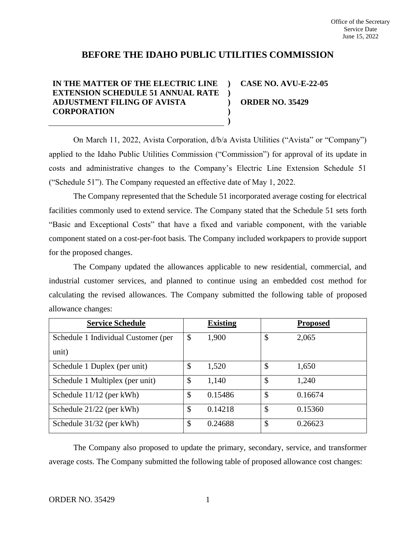# **BEFORE THE IDAHO PUBLIC UTILITIES COMMISSION**

#### **IN THE MATTER OF THE ELECTRIC LINE EXTENSION SCHEDULE 51 ANNUAL RATE ) ADJUSTMENT FILING OF AVISTA CORPORATION ) ) ) CASE NO. AVU-E-22-05 ORDER NO. 35429**

On March 11, 2022, Avista Corporation, d/b/a Avista Utilities ("Avista" or "Company") applied to the Idaho Public Utilities Commission ("Commission") for approval of its update in costs and administrative changes to the Company's Electric Line Extension Schedule 51 ("Schedule 51"). The Company requested an effective date of May 1, 2022.

**)**

The Company represented that the Schedule 51 incorporated average costing for electrical facilities commonly used to extend service. The Company stated that the Schedule 51 sets forth "Basic and Exceptional Costs" that have a fixed and variable component, with the variable component stated on a cost-per-foot basis*.* The Company included workpapers to provide support for the proposed changes.

The Company updated the allowances applicable to new residential, commercial, and industrial customer services, and planned to continue using an embedded cost method for calculating the revised allowances. The Company submitted the following table of proposed allowance changes:

| <b>Service Schedule</b>             | <b>Existing</b> | <b>Proposed</b> |
|-------------------------------------|-----------------|-----------------|
| Schedule 1 Individual Customer (per | \$<br>1,900     | \$<br>2,065     |
| unit)                               |                 |                 |
| Schedule 1 Duplex (per unit)        | \$<br>1,520     | \$<br>1,650     |
| Schedule 1 Multiplex (per unit)     | \$<br>1,140     | \$<br>1,240     |
| Schedule 11/12 (per kWh)            | \$<br>0.15486   | \$<br>0.16674   |
| Schedule 21/22 (per kWh)            | \$<br>0.14218   | \$<br>0.15360   |
| Schedule 31/32 (per kWh)            | \$<br>0.24688   | \$<br>0.26623   |

The Company also proposed to update the primary, secondary, service, and transformer average costs. The Company submitted the following table of proposed allowance cost changes: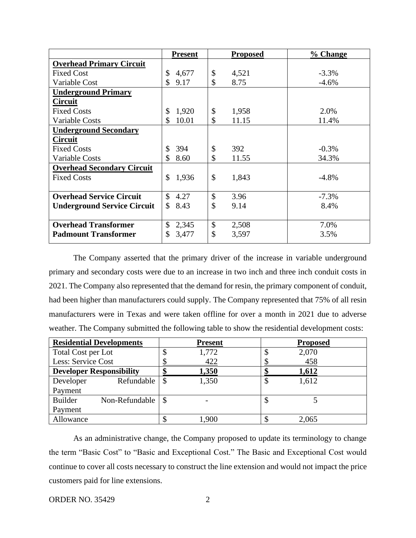|                                    | <b>Present</b>        | <b>Proposed</b> | % Change |
|------------------------------------|-----------------------|-----------------|----------|
| <b>Overhead Primary Circuit</b>    |                       |                 |          |
| <b>Fixed Cost</b>                  | 4,677<br>\$           | \$<br>4,521     | $-3.3%$  |
| Variable Cost                      | \$<br>9.17            | \$<br>8.75      | $-4.6%$  |
| <b>Underground Primary</b>         |                       |                 |          |
| <b>Circuit</b>                     |                       |                 |          |
| <b>Fixed Costs</b>                 | 1,920<br>\$           | \$<br>1,958     | 2.0%     |
| <b>Variable Costs</b>              | 10.01                 | \$<br>11.15     | 11.4%    |
| <b>Underground Secondary</b>       |                       |                 |          |
| <b>Circuit</b>                     |                       |                 |          |
| <b>Fixed Costs</b>                 | 394<br>\$             | \$<br>392       | $-0.3%$  |
| <b>Variable Costs</b>              | \$<br>8.60            | \$<br>11.55     | 34.3%    |
| <b>Overhead Secondary Circuit</b>  |                       |                 |          |
| <b>Fixed Costs</b>                 | 1,936<br>$\mathbb{S}$ | \$<br>1,843     | $-4.8%$  |
|                                    |                       |                 |          |
| <b>Overhead Service Circuit</b>    | \$<br>4.27            | \$<br>3.96      | $-7.3%$  |
| <b>Underground Service Circuit</b> | \$<br>8.43            | \$<br>9.14      | 8.4%     |
|                                    |                       |                 |          |
| <b>Overhead Transformer</b>        | \$<br>2,345           | \$<br>2,508     | 7.0%     |
| <b>Padmount Transformer</b>        | 3,477                 | \$<br>3,597     | 3.5%     |
|                                    |                       |                 |          |

The Company asserted that the primary driver of the increase in variable underground primary and secondary costs were due to an increase in two inch and three inch conduit costs in 2021. The Company also represented that the demand for resin, the primary component of conduit, had been higher than manufacturers could supply. The Company represented that 75% of all resin manufacturers were in Texas and were taken offline for over a month in 2021 due to adverse weather. The Company submitted the following table to show the residential development costs:

| <b>Residential Developments</b> | <b>Present</b> | <b>Proposed</b> |
|---------------------------------|----------------|-----------------|
| Total Cost per Lot              | 1,772          | 2,070           |
| Less: Service Cost              | 422            | 458             |
| <b>Developer Responsibility</b> | 1,350          | 1,612           |
| Refundable<br>Developer         | 1,350          | 1,612           |
| Payment                         |                |                 |
| Builder<br>Non-Refundable       |                |                 |
| Payment                         |                |                 |
| Allowance                       | 1,900          | 2,065           |

As an administrative change, the Company proposed to update its terminology to change the term "Basic Cost" to "Basic and Exceptional Cost." The Basic and Exceptional Cost would continue to cover all costs necessary to construct the line extension and would not impact the price customers paid for line extensions.

#### ORDER NO. 35429 2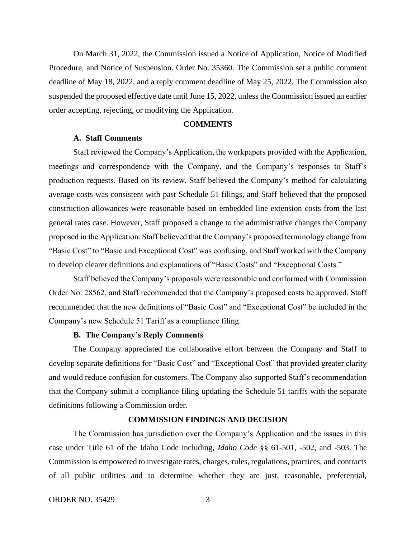On March 31, 2022, the Commission issued a Notice of Application, Notice of Modified Procedure, and Notice of Suspension. Order No. 35360. The Commission set a public comment deadline of May 18, 2022, and a reply comment deadline of May 25, 2022. The Commission also suspended the proposed effective date until June 15, 2022, unless the Commission issued an earlier order accepting, rejecting, or modifying the Application.

## **COMMENTS**

## **A. Staff Comments**

Staff reviewed the Company's Application, the workpapers provided with the Application, meetings and correspondence with the Company, and the Company's responses to Staff's production requests. Based on its review, Staff believed the Company's method for calculating average costs was consistent with past Schedule 51 filings, and Staff believed that the proposed construction allowances were reasonable based on embedded line extension costs from the last general rates case. However, Staff proposed a change to the administrative changes the Company proposed in the Application. Staff believed that the Company's proposed terminology change from "Basic Cost" to "Basic and Exceptional Cost" was confusing, and Staff worked with the Company to develop clearer definitions and explanations of "Basic Costs" and "Exceptional Costs."

Staff believed the Company's proposals were reasonable and conformed with Commission Order No. 28562, and Staff recommended that the Company's proposed costs be approved. Staff recommended that the new definitions of "Basic Cost" and "Exceptional Cost" be included in the Company's new Schedule 51 Tariff as a compliance filing.

#### **B. The Company's Reply Comments**

The Company appreciated the collaborative effort between the Company and Staff to develop separate definitions for "Basic Cost" and "Exceptional Cost" that provided greater clarity and would reduce confusion for customers. The Company also supported Staff's recommendation that the Company submit a compliance filing updating the Schedule 51 tariffs with the separate definitions following a Commission order.

# **COMMISSION FINDINGS AND DECISION**

The Commission has jurisdiction over the Company's Application and the issues in this case under Title 61 of the Idaho Code including, *Idaho Code* §§ 61-501, -502, and -503. The Commission is empowered to investigate rates, charges, rules, regulations, practices, and contracts of all public utilities and to determine whether they are just, reasonable, preferential,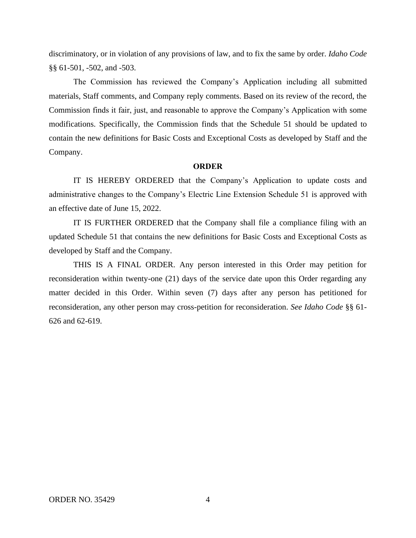discriminatory, or in violation of any provisions of law, and to fix the same by order. *Idaho Code* §§ 61-501, -502, and -503.

The Commission has reviewed the Company's Application including all submitted materials, Staff comments, and Company reply comments. Based on its review of the record, the Commission finds it fair, just, and reasonable to approve the Company's Application with some modifications. Specifically, the Commission finds that the Schedule 51 should be updated to contain the new definitions for Basic Costs and Exceptional Costs as developed by Staff and the Company.

#### **ORDER**

IT IS HEREBY ORDERED that the Company's Application to update costs and administrative changes to the Company's Electric Line Extension Schedule 51 is approved with an effective date of June 15, 2022.

IT IS FURTHER ORDERED that the Company shall file a compliance filing with an updated Schedule 51 that contains the new definitions for Basic Costs and Exceptional Costs as developed by Staff and the Company.

THIS IS A FINAL ORDER. Any person interested in this Order may petition for reconsideration within twenty-one (21) days of the service date upon this Order regarding any matter decided in this Order. Within seven (7) days after any person has petitioned for reconsideration, any other person may cross-petition for reconsideration. *See Idaho Code* §§ 61- 626 and 62-619.